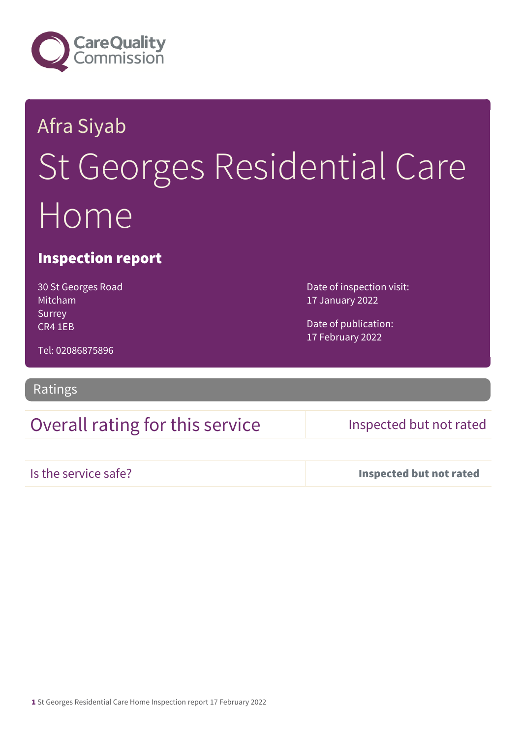

# Afra Siyab St Georges Residential Care Home

#### Inspection report

30 St Georges Road Mitcham Surrey CR4 1EB

Date of inspection visit: 17 January 2022

Date of publication: 17 February 2022

Tel: 02086875896

#### Ratings

### Overall rating for this service Inspected but not rated

Is the service safe? Inspected but not rated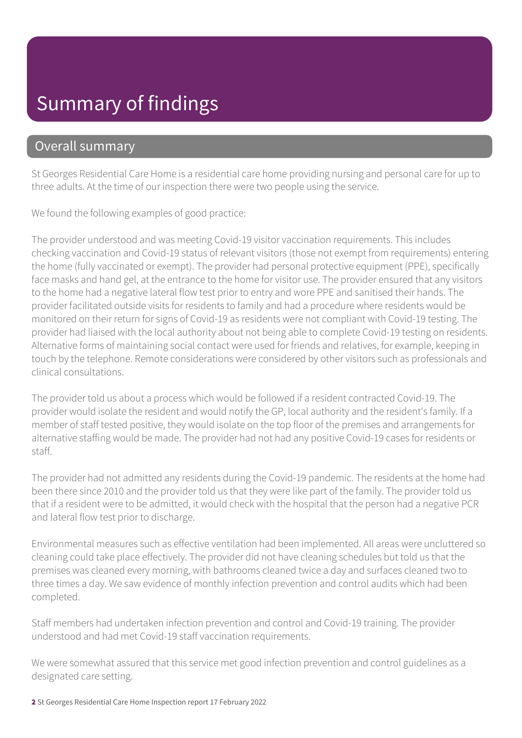## Summary of findings

#### Overall summary

St Georges Residential Care Home is a residential care home providing nursing and personal care for up to three adults. At the time of our inspection there were two people using the service.

We found the following examples of good practice:

The provider understood and was meeting Covid-19 visitor vaccination requirements. This includes checking vaccination and Covid-19 status of relevant visitors (those not exempt from requirements) entering the home (fully vaccinated or exempt). The provider had personal protective equipment (PPE), specifically face masks and hand gel, at the entrance to the home for visitor use. The provider ensured that any visitors to the home had a negative lateral flow test prior to entry and wore PPE and sanitised their hands. The provider facilitated outside visits for residents to family and had a procedure where residents would be monitored on their return for signs of Covid-19 as residents were not compliant with Covid-19 testing. The provider had liaised with the local authority about not being able to complete Covid-19 testing on residents. Alternative forms of maintaining social contact were used for friends and relatives, for example, keeping in touch by the telephone. Remote considerations were considered by other visitors such as professionals and clinical consultations.

The provider told us about a process which would be followed if a resident contracted Covid-19. The provider would isolate the resident and would notify the GP, local authority and the resident's family. If a member of staff tested positive, they would isolate on the top floor of the premises and arrangements for alternative staffing would be made. The provider had not had any positive Covid-19 cases for residents or staff.

The provider had not admitted any residents during the Covid-19 pandemic. The residents at the home had been there since 2010 and the provider told us that they were like part of the family. The provider told us that if a resident were to be admitted, it would check with the hospital that the person had a negative PCR and lateral flow test prior to discharge.

Environmental measures such as effective ventilation had been implemented. All areas were uncluttered so cleaning could take place effectively. The provider did not have cleaning schedules but told us that the premises was cleaned every morning, with bathrooms cleaned twice a day and surfaces cleaned two to three times a day. We saw evidence of monthly infection prevention and control audits which had been completed.

Staff members had undertaken infection prevention and control and Covid-19 training. The provider understood and had met Covid-19 staff vaccination requirements.

We were somewhat assured that this service met good infection prevention and control guidelines as a designated care setting.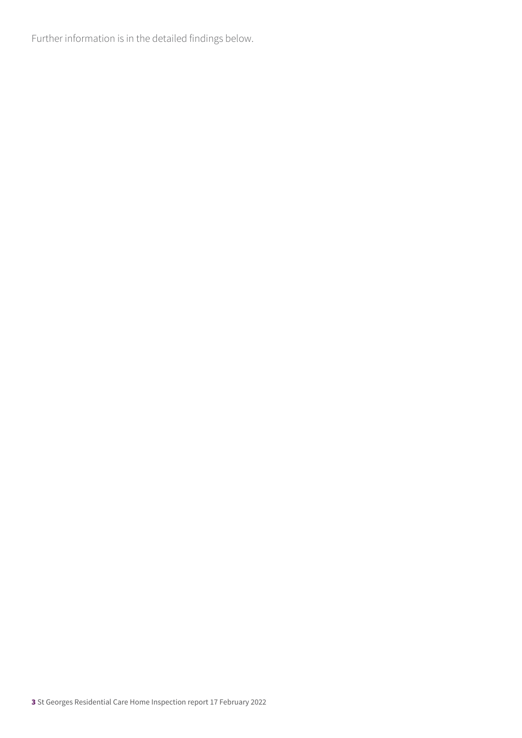Further information is in the detailed findings below.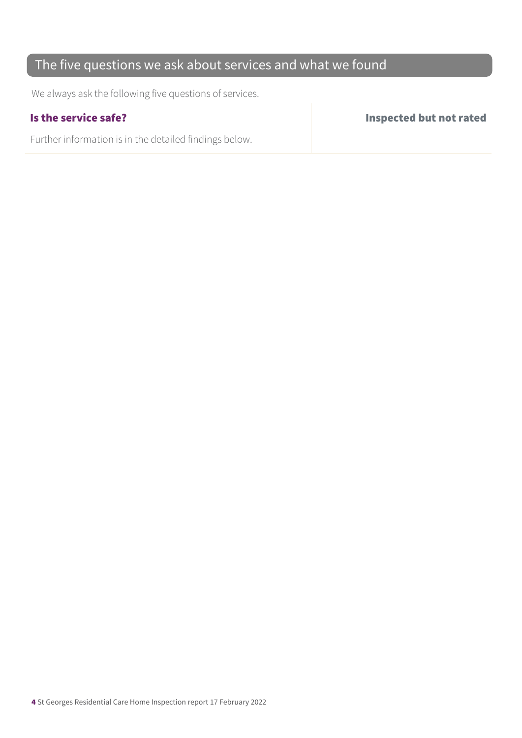#### The five questions we ask about services and what we found

We always ask the following five questions of services.

Further information is in the detailed findings below.

Is the service safe? Inspected but not rated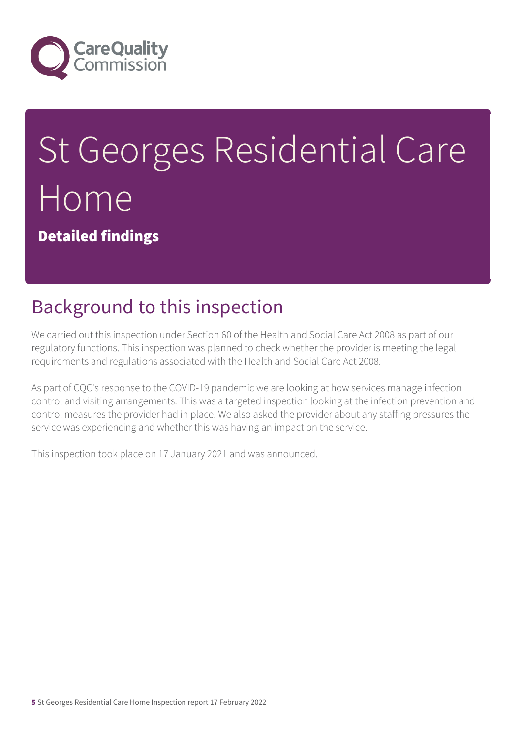

# St Georges Residential Care Home

Detailed findings

# Background to this inspection

We carried out this inspection under Section 60 of the Health and Social Care Act 2008 as part of our regulatory functions. This inspection was planned to check whether the provider is meeting the legal requirements and regulations associated with the Health and Social Care Act 2008.

As part of CQC's response to the COVID-19 pandemic we are looking at how services manage infection control and visiting arrangements. This was a targeted inspection looking at the infection prevention and control measures the provider had in place. We also asked the provider about any staffing pressures the service was experiencing and whether this was having an impact on the service.

This inspection took place on 17 January 2021 and was announced.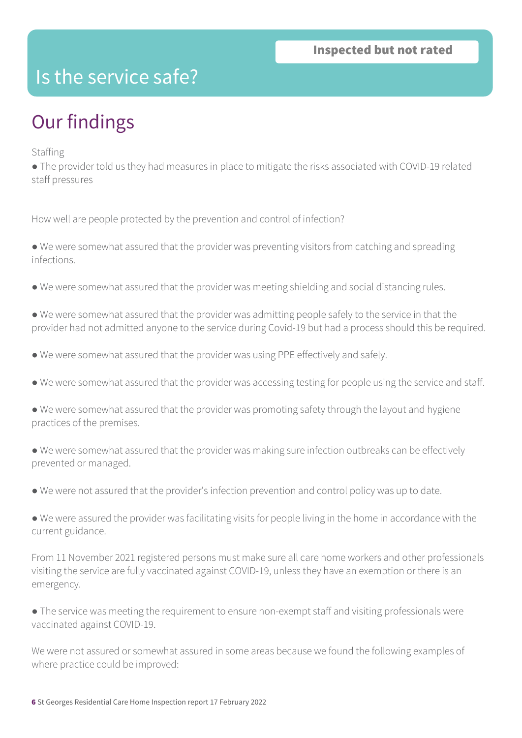### Is the service safe?

# Our findings

Staffing

● The provider told us they had measures in place to mitigate the risks associated with COVID-19 related staff pressures

How well are people protected by the prevention and control of infection?

● We were somewhat assured that the provider was preventing visitors from catching and spreading infections.

- We were somewhat assured that the provider was meeting shielding and social distancing rules.
- We were somewhat assured that the provider was admitting people safely to the service in that the provider had not admitted anyone to the service during Covid-19 but had a process should this be required.
- We were somewhat assured that the provider was using PPE effectively and safely.
- We were somewhat assured that the provider was accessing testing for people using the service and staff.
- We were somewhat assured that the provider was promoting safety through the layout and hygiene practices of the premises.
- We were somewhat assured that the provider was making sure infection outbreaks can be effectively prevented or managed.
- We were not assured that the provider's infection prevention and control policy was up to date.
- We were assured the provider was facilitating visits for people living in the home in accordance with the current guidance.

From 11 November 2021 registered persons must make sure all care home workers and other professionals visiting the service are fully vaccinated against COVID-19, unless they have an exemption or there is an emergency.

● The service was meeting the requirement to ensure non-exempt staff and visiting professionals were vaccinated against COVID-19.

We were not assured or somewhat assured in some areas because we found the following examples of where practice could be improved: